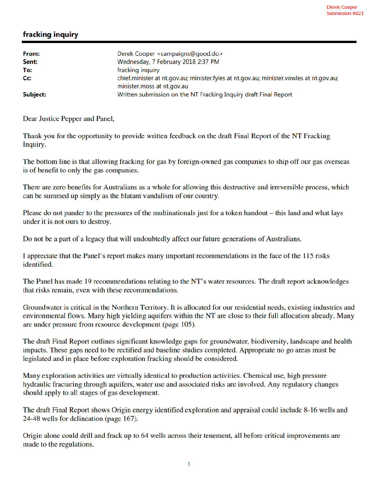## fracking inquiry

| From:    | Derek Cooper <campaigns@good.do></campaigns@good.do>                                           |
|----------|------------------------------------------------------------------------------------------------|
| Sent:    | Wednesday, 7 February 2018 2:37 PM                                                             |
| To:      | fracking inquiry                                                                               |
| Cc:      | chief.minister at nt.gov.au; minister.fyles at nt.gov.au; minister.vowles at nt.gov.au;        |
| Subject: | minister.moss at nt.gov.au<br>Written submission on the NT Fracking Inquiry draft Final Report |

Dear Justice Pepper and Panel,

Thank you for the opportunity to provide written feedback on the draft Final Report of the NT Fracking Inquiry.

The bottom line is that allowing fracking for gas by foreign-owned gas companies to ship off our gas overseas is of benefit to only the gas companies.

There are zero benefits for Australians as a whole for allowing this destructive and irreversible process, which can be summed up simply as the blatant vandalism of our country.

Please do not pander to the pressures of the multinationals just for a token handout – this land and what lays under it is not ours to destroy.

Do not be a part of a legacy that will undoubtedly affect our future generations of Australians.

I appreciate that the Panel's report makes many important recommendations in the face of the 115 risks identified.

The Panel has made 19 recommendations relating to the NT's water resources. The draft report acknowledges that risks remain, even with these recommendations.

Groundwater is critical in the Northern Territory. It is allocated for our residential needs, existing industries and environmental flows. Many high yielding aquifers within the NT are close to their full allocation already. Many are under pressure from resource development (page 105).

The draft Final Report outlines significant knowledge gaps for groundwater, biodiversity, landscape and health impacts. These gaps need to be rectified and baseline studies completed. Appropriate no go areas must be legislated and in place before exploration fracking should be considered.

Many exploration activities are virtually identical to production activities. Chemical use, high pressure hydraulic fracturing through aquifers, water use and associated risks are involved. Any regulatory changes should apply to all stages of gas development.

The draft Final Report shows Origin energy identified exploration and appraisal could include 8-16 wells and 24-48 wells for delineation (page 167).

Origin alone could drill and frack up to 64 wells across their tenement, all before critical improvements are made to the regulations.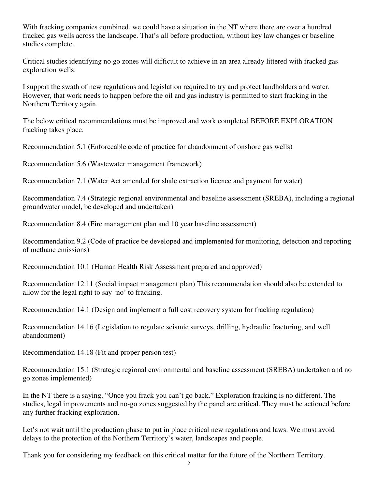With fracking companies combined, we could have a situation in the NT where there are over a hundred fracked gas wells across the landscape. That's all before production, without key law changes or baseline studies complete.

Critical studies identifying no go zones will difficult to achieve in an area already littered with fracked gas exploration wells.

I support the swath of new regulations and legislation required to try and protect landholders and water. However, that work needs to happen before the oil and gas industry is permitted to start fracking in the Northern Territory again.

The below critical recommendations must be improved and work completed BEFORE EXPLORATION fracking takes place.

Recommendation 5.1 (Enforceable code of practice for abandonment of onshore gas wells)

Recommendation 5.6 (Wastewater management framework)

Recommendation 7.1 (Water Act amended for shale extraction licence and payment for water)

Recommendation 7.4 (Strategic regional environmental and baseline assessment (SREBA), including a regional groundwater model, be developed and undertaken)

Recommendation 8.4 (Fire management plan and 10 year baseline assessment)

Recommendation 9.2 (Code of practice be developed and implemented for monitoring, detection and reporting of methane emissions)

Recommendation 10.1 (Human Health Risk Assessment prepared and approved)

Recommendation 12.11 (Social impact management plan) This recommendation should also be extended to allow for the legal right to say 'no' to fracking.

Recommendation 14.1 (Design and implement a full cost recovery system for fracking regulation)

Recommendation 14.16 (Legislation to regulate seismic surveys, drilling, hydraulic fracturing, and well abandonment)

Recommendation 14.18 (Fit and proper person test)

Recommendation 15.1 (Strategic regional environmental and baseline assessment (SREBA) undertaken and no go zones implemented)

In the NT there is a saying, "Once you frack you can't go back." Exploration fracking is no different. The studies, legal improvements and no-go zones suggested by the panel are critical. They must be actioned before any further fracking exploration.

Let's not wait until the production phase to put in place critical new regulations and laws. We must avoid delays to the protection of the Northern Territory's water, landscapes and people.

Thank you for considering my feedback on this critical matter for the future of the Northern Territory.